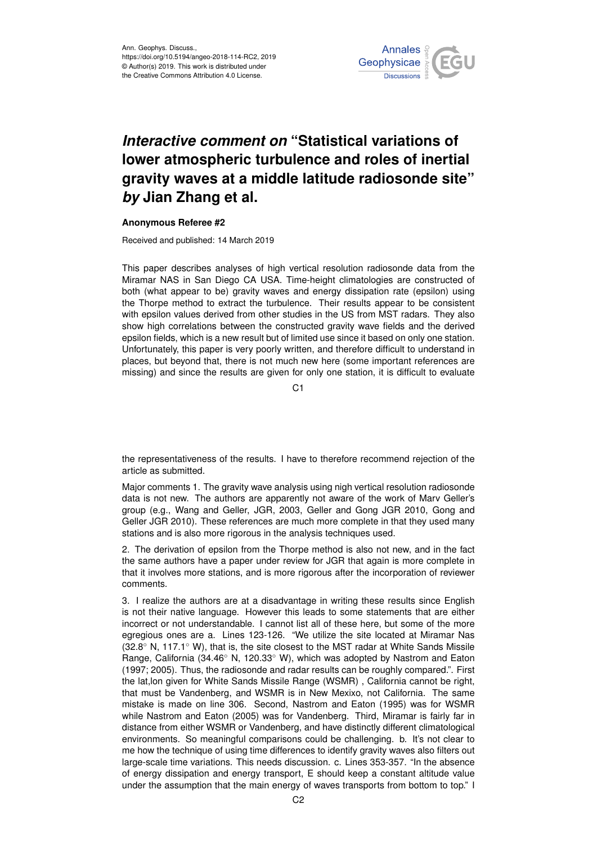

## *Interactive comment on* **"Statistical variations of lower atmospheric turbulence and roles of inertial gravity waves at a middle latitude radiosonde site"** *by* **Jian Zhang et al.**

## **Anonymous Referee #2**

Received and published: 14 March 2019

This paper describes analyses of high vertical resolution radiosonde data from the Miramar NAS in San Diego CA USA. Time-height climatologies are constructed of both (what appear to be) gravity waves and energy dissipation rate (epsilon) using the Thorpe method to extract the turbulence. Their results appear to be consistent with epsilon values derived from other studies in the US from MST radars. They also show high correlations between the constructed gravity wave fields and the derived epsilon fields, which is a new result but of limited use since it based on only one station. Unfortunately, this paper is very poorly written, and therefore difficult to understand in places, but beyond that, there is not much new here (some important references are missing) and since the results are given for only one station, it is difficult to evaluate

C1

the representativeness of the results. I have to therefore recommend rejection of the article as submitted.

Major comments 1. The gravity wave analysis using nigh vertical resolution radiosonde data is not new. The authors are apparently not aware of the work of Marv Geller's group (e.g., Wang and Geller, JGR, 2003, Geller and Gong JGR 2010, Gong and Geller JGR 2010). These references are much more complete in that they used many stations and is also more rigorous in the analysis techniques used.

2. The derivation of epsilon from the Thorpe method is also not new, and in the fact the same authors have a paper under review for JGR that again is more complete in that it involves more stations, and is more rigorous after the incorporation of reviewer comments.

3. I realize the authors are at a disadvantage in writing these results since English is not their native language. However this leads to some statements that are either incorrect or not understandable. I cannot list all of these here, but some of the more egregious ones are a. Lines 123-126. "We utilize the site located at Miramar Nas  $(32.8° \text{ N}, 117.1° \text{ W})$ , that is, the site closest to the MST radar at White Sands Missile Range, California (34.46◦ N, 120.33◦ W), which was adopted by Nastrom and Eaton (1997; 2005). Thus, the radiosonde and radar results can be roughly compared.". First the lat,lon given for White Sands Missile Range (WSMR) , California cannot be right, that must be Vandenberg, and WSMR is in New Mexixo, not California. The same mistake is made on line 306. Second, Nastrom and Eaton (1995) was for WSMR while Nastrom and Eaton (2005) was for Vandenberg. Third, Miramar is fairly far in distance from either WSMR or Vandenberg, and have distinctly different climatological environments. So meaningful comparisons could be challenging. b. It's not clear to me how the technique of using time differences to identify gravity waves also filters out large-scale time variations. This needs discussion. c. Lines 353-357. "In the absence of energy dissipation and energy transport, E should keep a constant altitude value under the assumption that the main energy of waves transports from bottom to top." I